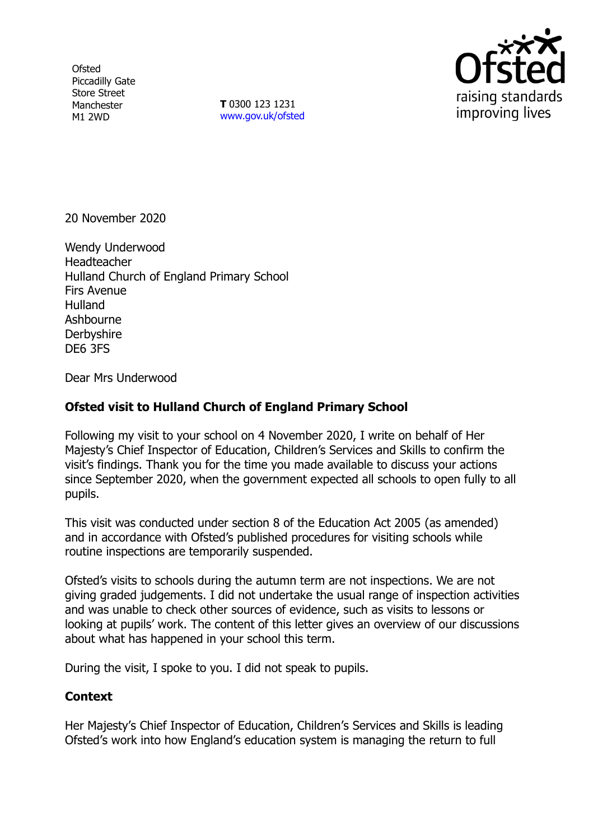**Ofsted** Piccadilly Gate Store Street Manchester M1 2WD

**T** 0300 123 1231 [www.gov.uk/ofsted](http://www.gov.uk/ofsted)



20 November 2020

Wendy Underwood **Headteacher** Hulland Church of England Primary School Firs Avenue Hulland Ashbourne **Derbyshire** DE6 3FS

Dear Mrs Underwood

## **Ofsted visit to Hulland Church of England Primary School**

Following my visit to your school on 4 November 2020, I write on behalf of Her Majesty's Chief Inspector of Education, Children's Services and Skills to confirm the visit's findings. Thank you for the time you made available to discuss your actions since September 2020, when the government expected all schools to open fully to all pupils.

This visit was conducted under section 8 of the Education Act 2005 (as amended) and in accordance with Ofsted's published procedures for visiting schools while routine inspections are temporarily suspended.

Ofsted's visits to schools during the autumn term are not inspections. We are not giving graded judgements. I did not undertake the usual range of inspection activities and was unable to check other sources of evidence, such as visits to lessons or looking at pupils' work. The content of this letter gives an overview of our discussions about what has happened in your school this term.

During the visit, I spoke to you. I did not speak to pupils.

## **Context**

Her Majesty's Chief Inspector of Education, Children's Services and Skills is leading Ofsted's work into how England's education system is managing the return to full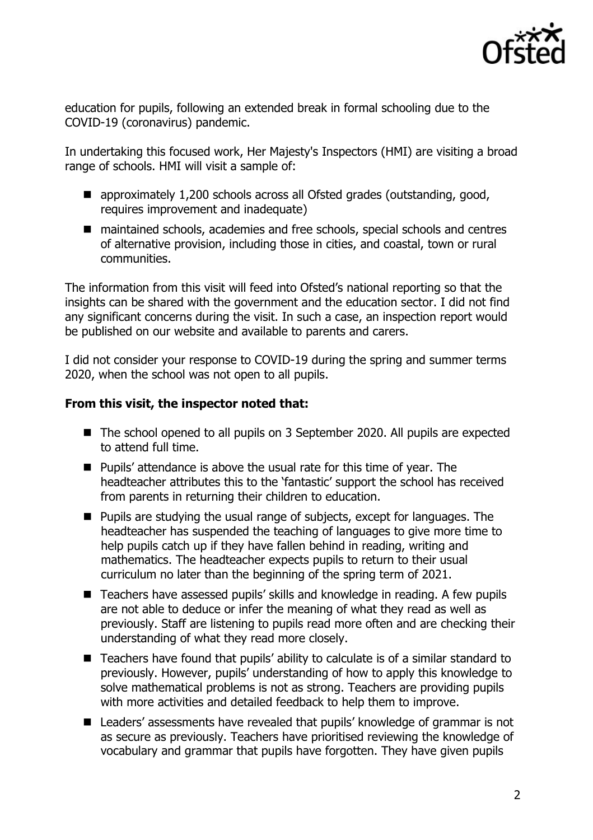

education for pupils, following an extended break in formal schooling due to the COVID-19 (coronavirus) pandemic.

In undertaking this focused work, Her Majesty's Inspectors (HMI) are visiting a broad range of schools. HMI will visit a sample of:

- approximately 1,200 schools across all Ofsted grades (outstanding, good, requires improvement and inadequate)
- maintained schools, academies and free schools, special schools and centres of alternative provision, including those in cities, and coastal, town or rural communities.

The information from this visit will feed into Ofsted's national reporting so that the insights can be shared with the government and the education sector. I did not find any significant concerns during the visit. In such a case, an inspection report would be published on our website and available to parents and carers.

I did not consider your response to COVID-19 during the spring and summer terms 2020, when the school was not open to all pupils.

## **From this visit, the inspector noted that:**

- The school opened to all pupils on 3 September 2020. All pupils are expected to attend full time.
- Pupils' attendance is above the usual rate for this time of year. The headteacher attributes this to the 'fantastic' support the school has received from parents in returning their children to education.
- **Pupils are studying the usual range of subjects, except for languages. The** headteacher has suspended the teaching of languages to give more time to help pupils catch up if they have fallen behind in reading, writing and mathematics. The headteacher expects pupils to return to their usual curriculum no later than the beginning of the spring term of 2021.
- Teachers have assessed pupils' skills and knowledge in reading. A few pupils are not able to deduce or infer the meaning of what they read as well as previously. Staff are listening to pupils read more often and are checking their understanding of what they read more closely.
- Teachers have found that pupils' ability to calculate is of a similar standard to previously. However, pupils' understanding of how to apply this knowledge to solve mathematical problems is not as strong. Teachers are providing pupils with more activities and detailed feedback to help them to improve.
- Leaders' assessments have revealed that pupils' knowledge of grammar is not as secure as previously. Teachers have prioritised reviewing the knowledge of vocabulary and grammar that pupils have forgotten. They have given pupils